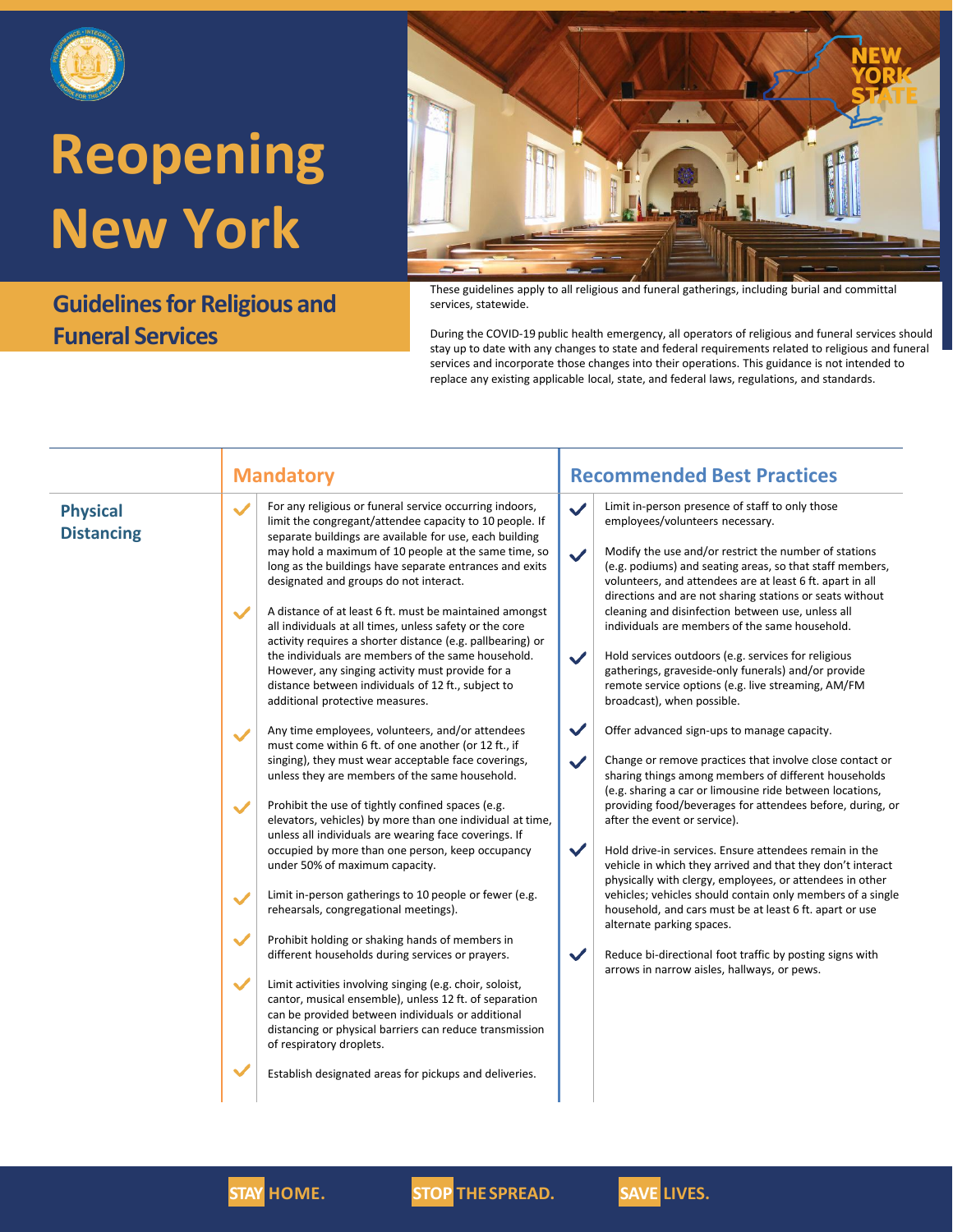

### **Guidelines for Religious and Funeral Services**



These guidelines apply to all religious and funeral gatherings, including burial and committal services, statewide.

During the COVID-19 public health emergency, all operators of religious and funeral services should stay up to date with any changes to state and federal requirements related to religious and funeral services and incorporate those changes into their operations. This guidance is not intended to replace any existing applicable local, state, and federal laws, regulations, and standards.

| <b>Physical</b><br><b>Distancing</b> | <b>Mandatory</b><br>For any religious or funeral service occurring indoors,<br>$\checkmark$<br>limit the congregant/attendee capacity to 10 people. If<br>separate buildings are available for use, each building<br>may hold a maximum of 10 people at the same time, so<br>long as the buildings have separate entrances and exits<br>designated and groups do not interact.<br>A distance of at least 6 ft. must be maintained amongst<br>$\checkmark$<br>all individuals at all times, unless safety or the core<br>activity requires a shorter distance (e.g. pallbearing) or<br>the individuals are members of the same household.<br>However, any singing activity must provide for a<br>distance between individuals of 12 ft., subject to<br>additional protective measures.<br>Any time employees, volunteers, and/or attendees<br>$\checkmark$<br>must come within 6 ft. of one another (or 12 ft., if<br>singing), they must wear acceptable face coverings,<br>unless they are members of the same household.<br>Prohibit the use of tightly confined spaces (e.g.<br>$\checkmark$<br>elevators, vehicles) by more than one individual at time,<br>unless all individuals are wearing face coverings. If<br>occupied by more than one person, keep occupancy<br>under 50% of maximum capacity.<br>Limit in-person gatherings to 10 people or fewer (e.g.<br>$\checkmark$<br>rehearsals, congregational meetings).<br>$\checkmark$<br>Prohibit holding or shaking hands of members in | <b>Recommended Best Practices</b><br>Limit in-person presence of staff to only those<br>$\checkmark$<br>employees/volunteers necessary.<br>Modify the use and/or restrict the number of stations<br>$\checkmark$<br>(e.g. podiums) and seating areas, so that staff members,<br>volunteers, and attendees are at least 6 ft. apart in all<br>directions and are not sharing stations or seats without<br>cleaning and disinfection between use, unless all<br>individuals are members of the same household.<br>Hold services outdoors (e.g. services for religious<br>$\checkmark$<br>gatherings, graveside-only funerals) and/or provide<br>remote service options (e.g. live streaming, AM/FM<br>broadcast), when possible.<br>$\checkmark$<br>Offer advanced sign-ups to manage capacity.<br>$\checkmark$<br>Change or remove practices that involve close contact or<br>sharing things among members of different households<br>(e.g. sharing a car or limousine ride between locations,<br>providing food/beverages for attendees before, during, or<br>after the event or service).<br>$\checkmark$<br>Hold drive-in services. Ensure attendees remain in the<br>vehicle in which they arrived and that they don't interact<br>physically with clergy, employees, or attendees in other<br>vehicles; vehicles should contain only members of a single<br>household, and cars must be at least 6 ft. apart or use<br>alternate parking spaces. |
|--------------------------------------|---------------------------------------------------------------------------------------------------------------------------------------------------------------------------------------------------------------------------------------------------------------------------------------------------------------------------------------------------------------------------------------------------------------------------------------------------------------------------------------------------------------------------------------------------------------------------------------------------------------------------------------------------------------------------------------------------------------------------------------------------------------------------------------------------------------------------------------------------------------------------------------------------------------------------------------------------------------------------------------------------------------------------------------------------------------------------------------------------------------------------------------------------------------------------------------------------------------------------------------------------------------------------------------------------------------------------------------------------------------------------------------------------------------------------------------------------------------------------------------------------|------------------------------------------------------------------------------------------------------------------------------------------------------------------------------------------------------------------------------------------------------------------------------------------------------------------------------------------------------------------------------------------------------------------------------------------------------------------------------------------------------------------------------------------------------------------------------------------------------------------------------------------------------------------------------------------------------------------------------------------------------------------------------------------------------------------------------------------------------------------------------------------------------------------------------------------------------------------------------------------------------------------------------------------------------------------------------------------------------------------------------------------------------------------------------------------------------------------------------------------------------------------------------------------------------------------------------------------------------------------------------------------------------------------------------------------------------|
|                                      | different households during services or prayers.                                                                                                                                                                                                                                                                                                                                                                                                                                                                                                                                                                                                                                                                                                                                                                                                                                                                                                                                                                                                                                                                                                                                                                                                                                                                                                                                                                                                                                                  | $\checkmark$<br>Reduce bi-directional foot traffic by posting signs with<br>arrows in narrow aisles, hallways, or pews.                                                                                                                                                                                                                                                                                                                                                                                                                                                                                                                                                                                                                                                                                                                                                                                                                                                                                                                                                                                                                                                                                                                                                                                                                                                                                                                              |
|                                      | $\checkmark$<br>Limit activities involving singing (e.g. choir, soloist,<br>cantor, musical ensemble), unless 12 ft. of separation<br>can be provided between individuals or additional<br>distancing or physical barriers can reduce transmission<br>of respiratory droplets.                                                                                                                                                                                                                                                                                                                                                                                                                                                                                                                                                                                                                                                                                                                                                                                                                                                                                                                                                                                                                                                                                                                                                                                                                    |                                                                                                                                                                                                                                                                                                                                                                                                                                                                                                                                                                                                                                                                                                                                                                                                                                                                                                                                                                                                                                                                                                                                                                                                                                                                                                                                                                                                                                                      |
|                                      | Establish designated areas for pickups and deliveries.                                                                                                                                                                                                                                                                                                                                                                                                                                                                                                                                                                                                                                                                                                                                                                                                                                                                                                                                                                                                                                                                                                                                                                                                                                                                                                                                                                                                                                            |                                                                                                                                                                                                                                                                                                                                                                                                                                                                                                                                                                                                                                                                                                                                                                                                                                                                                                                                                                                                                                                                                                                                                                                                                                                                                                                                                                                                                                                      |



**STAY HOME. STOP THE SPREAD. SAVE LIVES.**

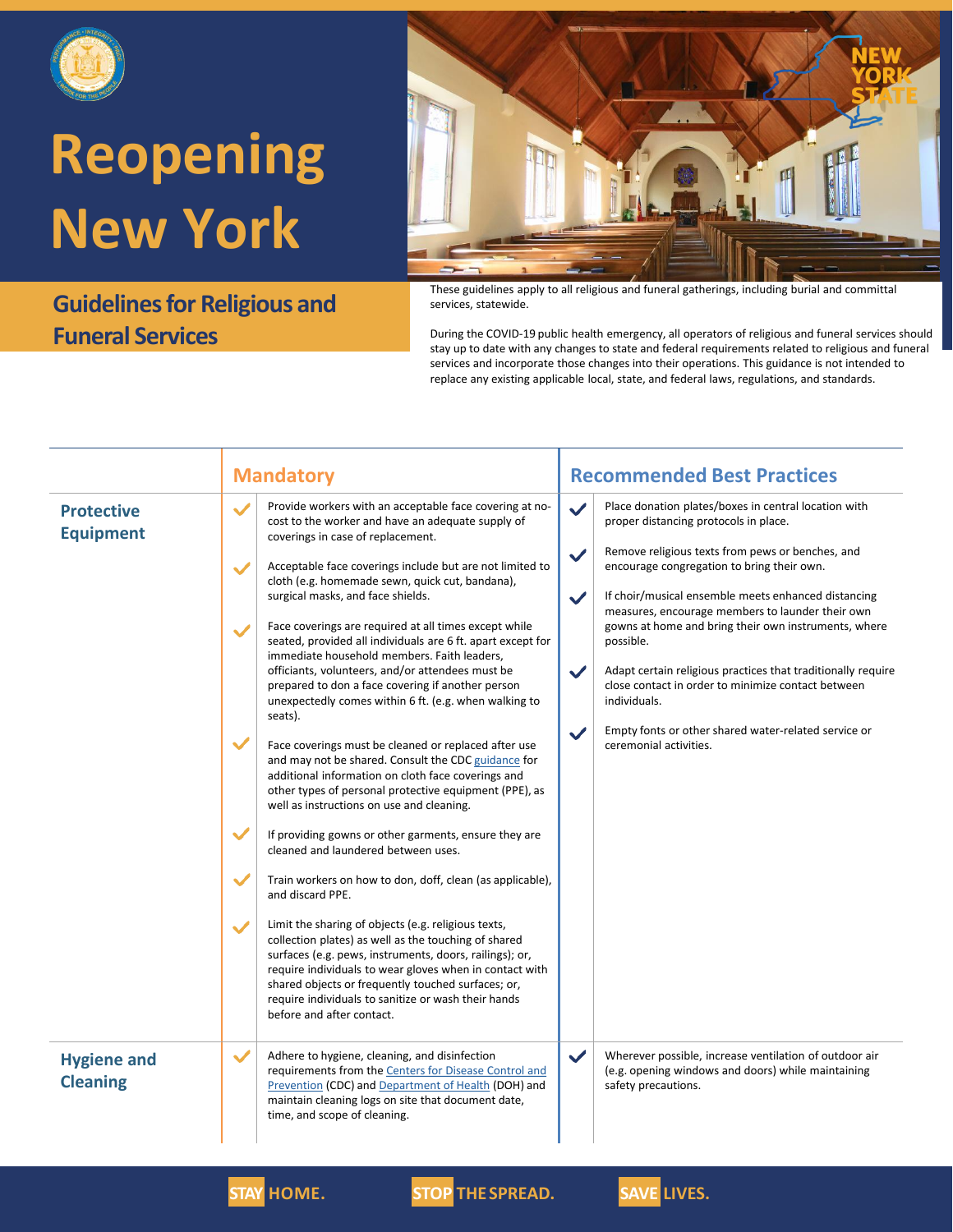

### **Guidelines for Religious and Funeral Services**



These guidelines apply to all religious and funeral gatherings, including burial and committal services, statewide.

During the COVID-19 public health emergency, all operators of religious and funeral services should stay up to date with any changes to state and federal requirements related to religious and funeral services and incorporate those changes into their operations. This guidance is not intended to replace any existing applicable local, state, and federal laws, regulations, and standards.

|                                       | <b>Mandatory</b>                                                                                                                                                                                                                                                                                                                                                                                                                                                                                                                                                                                                                                                                                                                                                                                                                                                                                                                                                                                                                                                                                                                                                                                                                                                                                                                                                                                                                                                                                                                                                                                                      | <b>Recommended Best Practices</b>                                                                                                                                                                                                                                                                                                                                                                                                                                                                                                                                                                                                                                                       |
|---------------------------------------|-----------------------------------------------------------------------------------------------------------------------------------------------------------------------------------------------------------------------------------------------------------------------------------------------------------------------------------------------------------------------------------------------------------------------------------------------------------------------------------------------------------------------------------------------------------------------------------------------------------------------------------------------------------------------------------------------------------------------------------------------------------------------------------------------------------------------------------------------------------------------------------------------------------------------------------------------------------------------------------------------------------------------------------------------------------------------------------------------------------------------------------------------------------------------------------------------------------------------------------------------------------------------------------------------------------------------------------------------------------------------------------------------------------------------------------------------------------------------------------------------------------------------------------------------------------------------------------------------------------------------|-----------------------------------------------------------------------------------------------------------------------------------------------------------------------------------------------------------------------------------------------------------------------------------------------------------------------------------------------------------------------------------------------------------------------------------------------------------------------------------------------------------------------------------------------------------------------------------------------------------------------------------------------------------------------------------------|
| <b>Protective</b><br><b>Equipment</b> | Provide workers with an acceptable face covering at no-<br>$\checkmark$<br>cost to the worker and have an adequate supply of<br>coverings in case of replacement.<br>Acceptable face coverings include but are not limited to<br>$\checkmark$<br>cloth (e.g. homemade sewn, quick cut, bandana),<br>surgical masks, and face shields.<br>Face coverings are required at all times except while<br>$\checkmark$<br>seated, provided all individuals are 6 ft. apart except for<br>immediate household members. Faith leaders,<br>officiants, volunteers, and/or attendees must be<br>prepared to don a face covering if another person<br>unexpectedly comes within 6 ft. (e.g. when walking to<br>seats).<br>$\checkmark$<br>Face coverings must be cleaned or replaced after use<br>and may not be shared. Consult the CDC guidance for<br>additional information on cloth face coverings and<br>other types of personal protective equipment (PPE), as<br>well as instructions on use and cleaning.<br>$\checkmark$<br>If providing gowns or other garments, ensure they are<br>cleaned and laundered between uses.<br>$\checkmark$<br>Train workers on how to don, doff, clean (as applicable),<br>and discard PPE.<br>Limit the sharing of objects (e.g. religious texts,<br>$\checkmark$<br>collection plates) as well as the touching of shared<br>surfaces (e.g. pews, instruments, doors, railings); or,<br>require individuals to wear gloves when in contact with<br>shared objects or frequently touched surfaces; or,<br>require individuals to sanitize or wash their hands<br>before and after contact. | Place donation plates/boxes in central location with<br>$\checkmark$<br>proper distancing protocols in place.<br>Remove religious texts from pews or benches, and<br>$\checkmark$<br>encourage congregation to bring their own.<br>$\checkmark$<br>If choir/musical ensemble meets enhanced distancing<br>measures, encourage members to launder their own<br>gowns at home and bring their own instruments, where<br>possible.<br>$\checkmark$<br>Adapt certain religious practices that traditionally require<br>close contact in order to minimize contact between<br>individuals.<br>Empty fonts or other shared water-related service or<br>$\checkmark$<br>ceremonial activities. |
| <b>Hygiene and</b><br><b>Cleaning</b> | $\checkmark$<br>Adhere to hygiene, cleaning, and disinfection<br>requirements from the Centers for Disease Control and<br>Prevention (CDC) and Department of Health (DOH) and<br>maintain cleaning logs on site that document date,<br>time, and scope of cleaning.                                                                                                                                                                                                                                                                                                                                                                                                                                                                                                                                                                                                                                                                                                                                                                                                                                                                                                                                                                                                                                                                                                                                                                                                                                                                                                                                                   | Wherever possible, increase ventilation of outdoor air<br>$\checkmark$<br>(e.g. opening windows and doors) while maintaining<br>safety precautions.                                                                                                                                                                                                                                                                                                                                                                                                                                                                                                                                     |





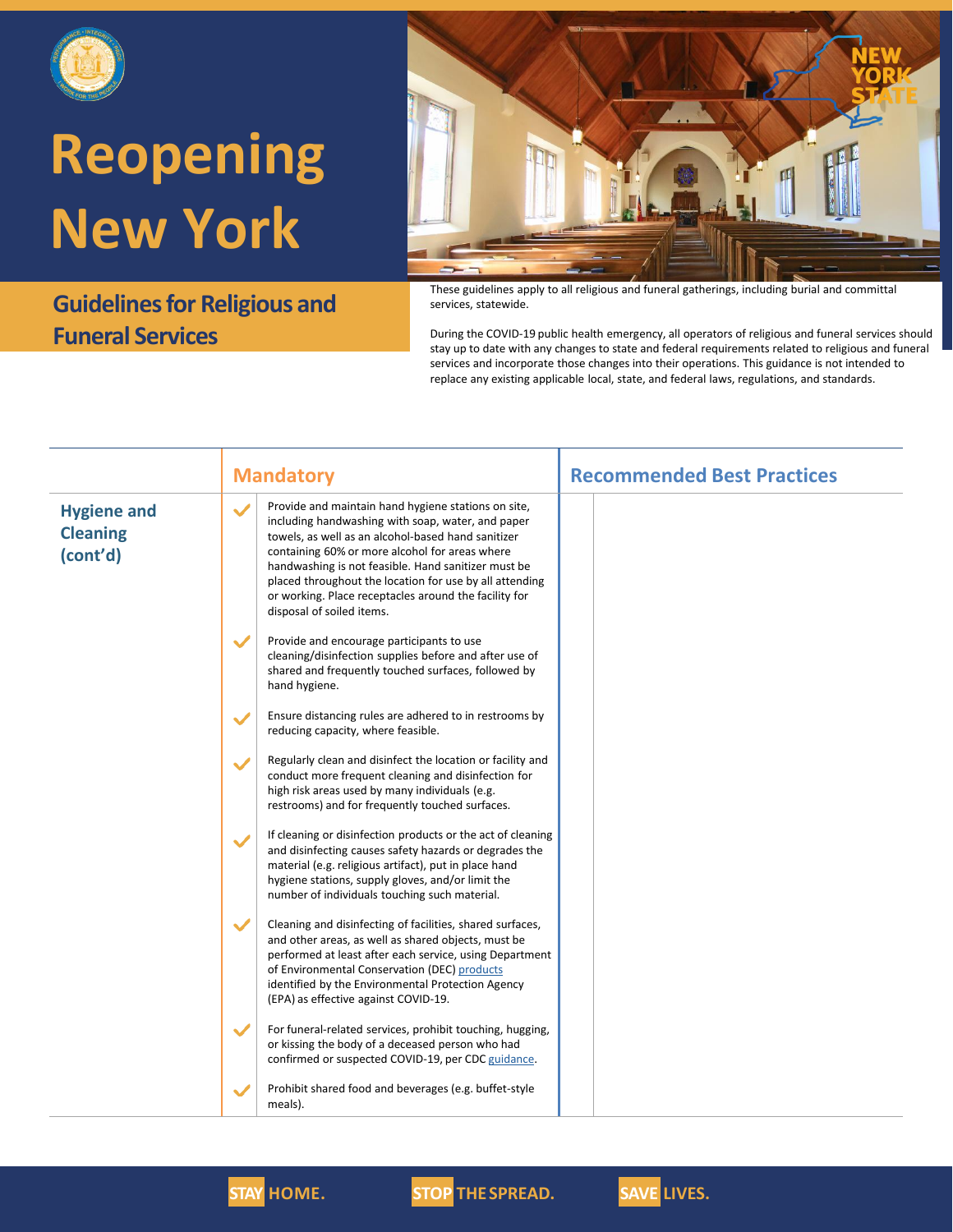

### **Guidelines for Religious and Funeral Services**



These guidelines apply to all religious and funeral gatherings, including burial and committal services, statewide.

During the COVID-19 public health emergency, all operators of religious and funeral services should stay up to date with any changes to state and federal requirements related to religious and funeral services and incorporate those changes into their operations. This guidance is not intended to replace any existing applicable local, state, and federal laws, regulations, and standards.

|                                                   | <b>Mandatory</b>                                                                                                                                                                                                                                                                                                                                                                                                                         | <b>Recommended Best Practices</b> |
|---------------------------------------------------|------------------------------------------------------------------------------------------------------------------------------------------------------------------------------------------------------------------------------------------------------------------------------------------------------------------------------------------------------------------------------------------------------------------------------------------|-----------------------------------|
| <b>Hygiene and</b><br><b>Cleaning</b><br>(cont'd) | Provide and maintain hand hygiene stations on site,<br>$\checkmark$<br>including handwashing with soap, water, and paper<br>towels, as well as an alcohol-based hand sanitizer<br>containing 60% or more alcohol for areas where<br>handwashing is not feasible. Hand sanitizer must be<br>placed throughout the location for use by all attending<br>or working. Place receptacles around the facility for<br>disposal of soiled items. |                                   |
|                                                   | $\checkmark$<br>Provide and encourage participants to use<br>cleaning/disinfection supplies before and after use of<br>shared and frequently touched surfaces, followed by<br>hand hygiene.                                                                                                                                                                                                                                              |                                   |
|                                                   | Ensure distancing rules are adhered to in restrooms by<br>$\checkmark$<br>reducing capacity, where feasible.                                                                                                                                                                                                                                                                                                                             |                                   |
|                                                   | Regularly clean and disinfect the location or facility and<br>$\checkmark$<br>conduct more frequent cleaning and disinfection for<br>high risk areas used by many individuals (e.g.<br>restrooms) and for frequently touched surfaces.                                                                                                                                                                                                   |                                   |
|                                                   | If cleaning or disinfection products or the act of cleaning<br>$\checkmark$<br>and disinfecting causes safety hazards or degrades the<br>material (e.g. religious artifact), put in place hand<br>hygiene stations, supply gloves, and/or limit the<br>number of individuals touching such material.                                                                                                                                     |                                   |
|                                                   | $\checkmark$<br>Cleaning and disinfecting of facilities, shared surfaces,<br>and other areas, as well as shared objects, must be<br>performed at least after each service, using Department<br>of Environmental Conservation (DEC) products<br>identified by the Environmental Protection Agency<br>(EPA) as effective against COVID-19.                                                                                                 |                                   |
|                                                   | $\checkmark$<br>For funeral-related services, prohibit touching, hugging,<br>or kissing the body of a deceased person who had<br>confirmed or suspected COVID-19, per CDC guidance.                                                                                                                                                                                                                                                      |                                   |
|                                                   | Prohibit shared food and beverages (e.g. buffet-style<br>$\checkmark$<br>meals).                                                                                                                                                                                                                                                                                                                                                         |                                   |



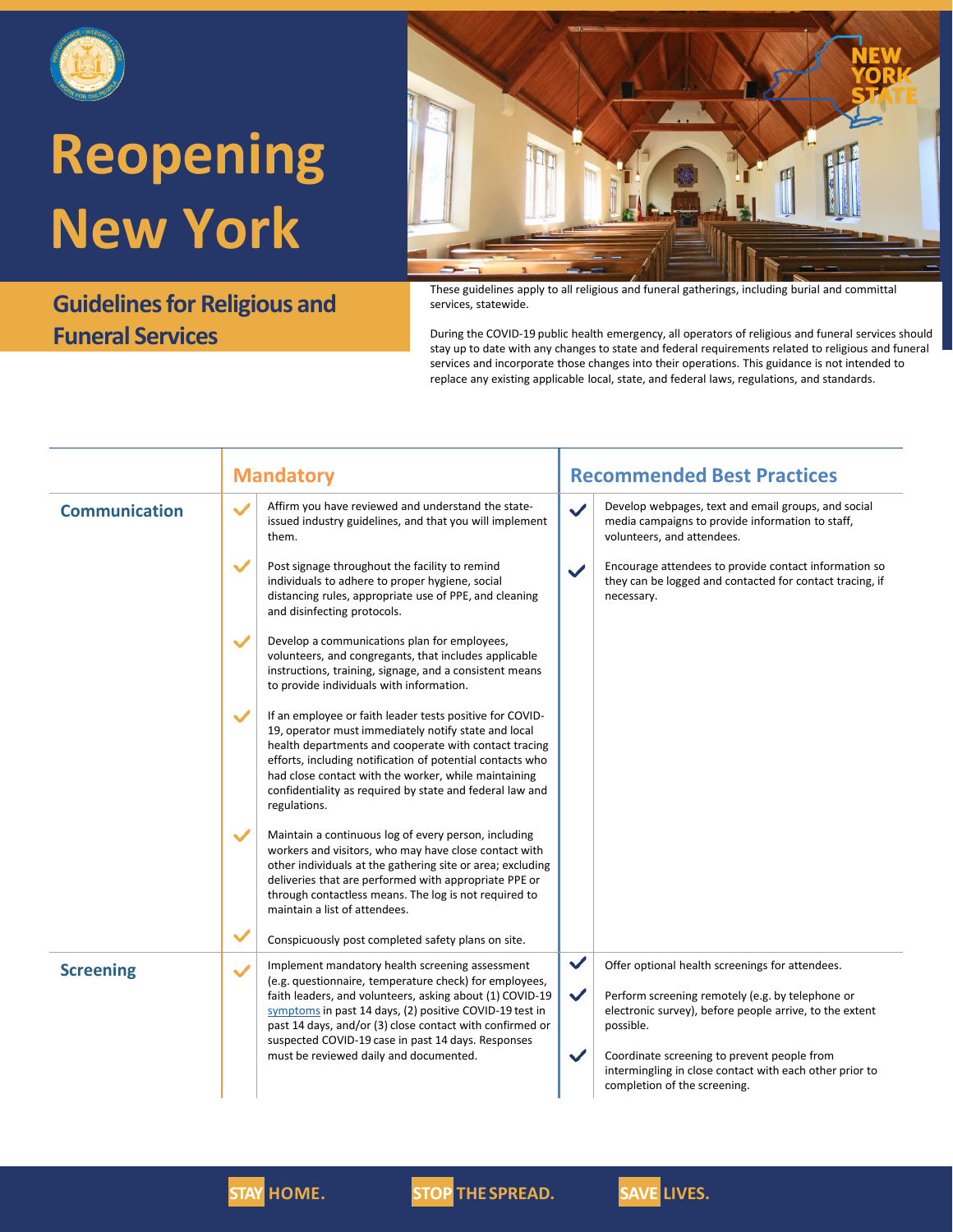

### **Guidelines for Religious and Funeral Services**



These guidelines apply to all religious and funeral gatherings, including burial and committal services, statewide.

During the COVID-19 public health emergency, all operators of religious and funeral services should stay up to date with any changes to state and federal requirements related to religious and funeral services and incorporate those changes into their operations. This guidance is not intended to replace any existing applicable local, state, and federal laws, regulations, and standards.

|                      | <b>Mandatory</b>                                                                                                                                                                                                                                                                                                                                                                                             | <b>Recommended Best Practices</b>                                                                                                                                                                                                                                                                                                                                     |
|----------------------|--------------------------------------------------------------------------------------------------------------------------------------------------------------------------------------------------------------------------------------------------------------------------------------------------------------------------------------------------------------------------------------------------------------|-----------------------------------------------------------------------------------------------------------------------------------------------------------------------------------------------------------------------------------------------------------------------------------------------------------------------------------------------------------------------|
| <b>Communication</b> | Affirm you have reviewed and understand the state-<br>$\checkmark$<br>issued industry guidelines, and that you will implement<br>them.                                                                                                                                                                                                                                                                       | Develop webpages, text and email groups, and social<br>$\checkmark$<br>media campaigns to provide information to staff,<br>volunteers, and attendees.                                                                                                                                                                                                                 |
|                      | $\checkmark$<br>Post signage throughout the facility to remind<br>individuals to adhere to proper hygiene, social<br>distancing rules, appropriate use of PPE, and cleaning<br>and disinfecting protocols.                                                                                                                                                                                                   | Encourage attendees to provide contact information so<br>$\checkmark$<br>they can be logged and contacted for contact tracing, if<br>necessary.                                                                                                                                                                                                                       |
|                      | $\checkmark$<br>Develop a communications plan for employees,<br>volunteers, and congregants, that includes applicable<br>instructions, training, signage, and a consistent means<br>to provide individuals with information.                                                                                                                                                                                 |                                                                                                                                                                                                                                                                                                                                                                       |
|                      | $\checkmark$<br>If an employee or faith leader tests positive for COVID-<br>19, operator must immediately notify state and local<br>health departments and cooperate with contact tracing<br>efforts, including notification of potential contacts who<br>had close contact with the worker, while maintaining<br>confidentiality as required by state and federal law and<br>regulations.                   |                                                                                                                                                                                                                                                                                                                                                                       |
|                      | $\checkmark$<br>Maintain a continuous log of every person, including<br>workers and visitors, who may have close contact with<br>other individuals at the gathering site or area; excluding<br>deliveries that are performed with appropriate PPE or<br>through contactless means. The log is not required to<br>maintain a list of attendees.<br>$\checkmark$                                               |                                                                                                                                                                                                                                                                                                                                                                       |
|                      | Conspicuously post completed safety plans on site.                                                                                                                                                                                                                                                                                                                                                           |                                                                                                                                                                                                                                                                                                                                                                       |
| <b>Screening</b>     | Implement mandatory health screening assessment<br>$\checkmark$<br>(e.g. questionnaire, temperature check) for employees,<br>faith leaders, and volunteers, asking about (1) COVID-19<br>symptoms in past 14 days, (2) positive COVID-19 test in<br>past 14 days, and/or (3) close contact with confirmed or<br>suspected COVID-19 case in past 14 days. Responses<br>must be reviewed daily and documented. | $\checkmark$<br>Offer optional health screenings for attendees.<br>$\checkmark$<br>Perform screening remotely (e.g. by telephone or<br>electronic survey), before people arrive, to the extent<br>possible.<br>$\checkmark$<br>Coordinate screening to prevent people from<br>intermingling in close contact with each other prior to<br>completion of the screening. |



**STAY HOME. STOP THE SPREAD. SAVE LIVES.**